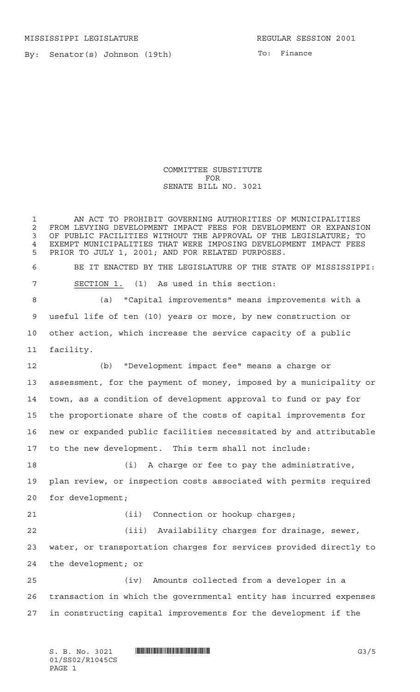MISSISSIPPI LEGISLATURE **REGULAR SESSION 2001** 

By: Senator(s) Johnson (19th)

COMMITTEE SUBSTITUTE FOR SENATE BILL NO. 3021

 AN ACT TO PROHIBIT GOVERNING AUTHORITIES OF MUNICIPALITIES 2 FROM LEVYING DEVELOPMENT IMPACT FEES FOR DEVELOPMENT OR EXPANSION<br>3 OF PUBLIC FACILITIES WITHOUT THE APPROVAL OF THE LEGISLATURE: TO OF PUBLIC FACILITIES WITHOUT THE APPROVAL OF THE LEGISLATURE; TO 4 EXEMPT MUNICIPALITIES THAT WERE IMPOSING DEVELOPMENT IMPACT FEES<br>5 PRIOR TO JULY 1 2001: AND FOR RELATED PURPOSES PRIOR TO JULY 1, 2001; AND FOR RELATED PURPOSES. BE IT ENACTED BY THE LEGISLATURE OF THE STATE OF MISSISSIPPI: SECTION 1. (1) As used in this section: (a) "Capital improvements" means improvements with a useful life of ten (10) years or more, by new construction or other action, which increase the service capacity of a public facility. (b) "Development impact fee" means a charge or assessment, for the payment of money, imposed by a municipality or town, as a condition of development approval to fund or pay for the proportionate share of the costs of capital improvements for new or expanded public facilities necessitated by and attributable to the new development. This term shall not include: (i) A charge or fee to pay the administrative, plan review, or inspection costs associated with permits required for development; 21 (ii) Connection or hookup charges; (iii) Availability charges for drainage, sewer, water, or transportation charges for services provided directly to the development; or (iv) Amounts collected from a developer in a transaction in which the governmental entity has incurred expenses in constructing capital improvements for the development if the